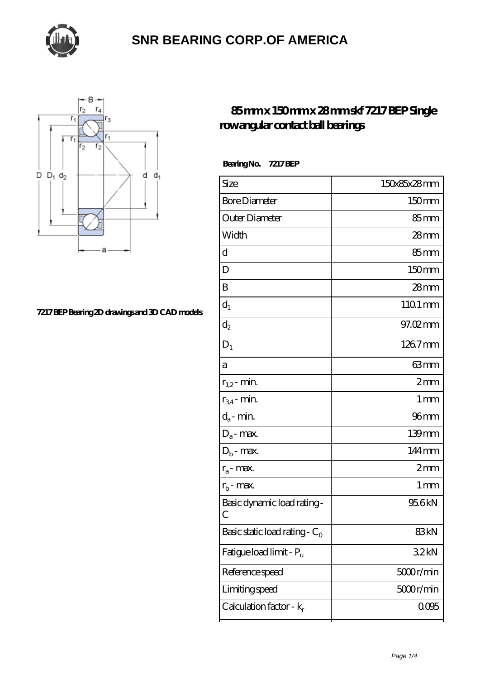



#### **[7217 BEP Bearing 2D drawings and 3D CAD models](https://thebestofquebec.com/pic-64978730.html)**

### **[85 mm x 150 mm x 28 mm skf 7217 BEP Single](https://thebestofquebec.com/ar-64978730-skf-7217-bep-single-row-angular-contact-ball-bearings.html) [row angular contact ball bearings](https://thebestofquebec.com/ar-64978730-skf-7217-bep-single-row-angular-contact-ball-bearings.html)**

| Size                             | 150x85x28mm       |
|----------------------------------|-------------------|
| <b>Bore Diameter</b>             | 150 <sub>mm</sub> |
| Outer Diameter                   | 85 <sub>mm</sub>  |
| Width                            | $28$ mm           |
| d                                | 85mm              |
| D                                | 150 <sub>mm</sub> |
| B                                | $28$ mm           |
| $d_1$                            | 1101 mm           |
| $\mathrm{d}_2$                   | 97.02mm           |
| $D_1$                            | 126.7mm           |
| а                                | 63mm              |
| $r_{1,2}$ - min.                 | 2mm               |
| $r_{34}$ - min.                  | $1 \,\mathrm{mm}$ |
| $d_a$ - min.                     | $96$ mm           |
| $D_a$ - max.                     | 139mm             |
| $D_b$ - $\max$                   | 144mm             |
| $r_a$ - max.                     | 2mm               |
| $r_{\rm b}$ - max.               | $1 \,\mathrm{mm}$ |
| Basic dynamic load rating-<br>С  | 95.6kN            |
| Basic static load rating - $C_0$ | 83kN              |
| Fatigue load limit - Pu          | 32kN              |
| Reference speed                  | 5000r/min         |
| Limiting speed                   | 5000r/min         |
| Calculation factor - $k_r$       | 0.095             |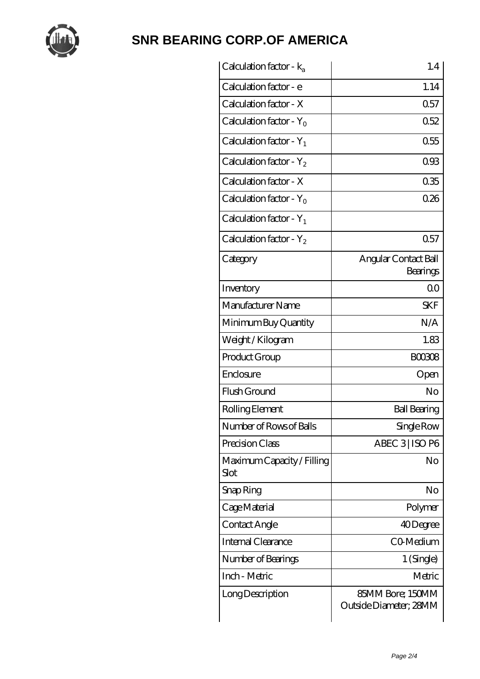

| Calculation factor - $k_a$          | 1.4                                        |
|-------------------------------------|--------------------------------------------|
| Calculation factor - e              | 1.14                                       |
| Calculation factor - X              | 0.57                                       |
| Calculation factor - Y <sub>0</sub> | 0.52                                       |
| Calculation factor - $Y_1$          | 0.55                                       |
| Calculation factor - $Y_2$          | 093                                        |
| Calculation factor - X              | 035                                        |
| Calculation factor - $Y_0$          | 026                                        |
| Calculation factor - $Y_1$          |                                            |
| Calculation factor - $Y_2$          | 0.57                                       |
| Category                            | Angular Contact Ball<br>Bearings           |
| Inventory                           | 0 <sup>0</sup>                             |
| Manufacturer Name                   | <b>SKF</b>                                 |
| Minimum Buy Quantity                | N/A                                        |
| Weight / Kilogram                   | 1.83                                       |
| Product Group                       | <b>BOO3O8</b>                              |
| Enclosure                           | Open                                       |
| Flush Ground                        | N <sub>o</sub>                             |
| Rolling Element                     | <b>Ball Bearing</b>                        |
| Number of Rows of Balls             | Single Row                                 |
| Precision Class                     | ABEC 3   ISO P6                            |
| Maximum Capacity / Filling<br>Slot  | No                                         |
| Snap Ring                           | No                                         |
| Cage Material                       | Polymer                                    |
| Contact Angle                       | 40Degree                                   |
| Internal Clearance                  | CO-Medium                                  |
| Number of Bearings                  | 1 (Single)                                 |
| Inch - Metric                       | Metric                                     |
| Long Description                    | 85MM Bore; 150MM<br>Outside Diameter; 28MM |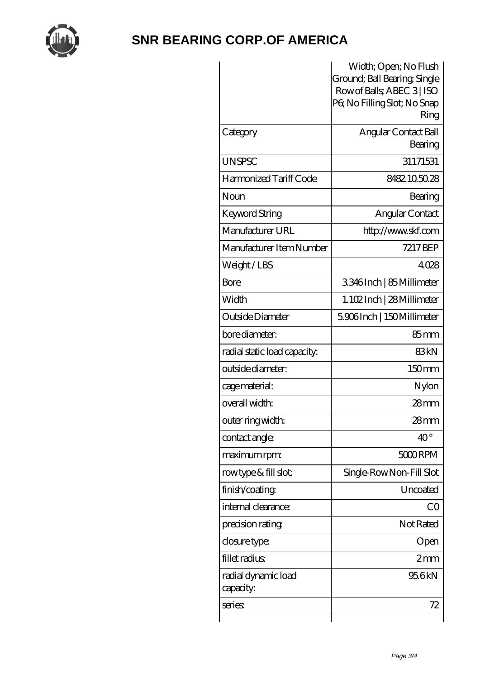

|                              | Width; Open; No Flush                                      |
|------------------------------|------------------------------------------------------------|
|                              | Ground; Ball Bearing, Single<br>Row of Balls, ABEC 3   ISO |
|                              | PG No Filling Slot; No Snap                                |
|                              | Ring                                                       |
| Category                     | Angular Contact Ball                                       |
|                              | Bearing                                                    |
| <b>UNSPSC</b>                | 31171531                                                   |
| Harmonized Tariff Code       | 8482.105028                                                |
| Noun                         | Bearing                                                    |
| Keyword String               | Angular Contact                                            |
| Manufacturer URL             | http://www.skf.com                                         |
| Manufacturer Item Number     | 7217 BEP                                                   |
| Weight/LBS                   | 4028                                                       |
| Bore                         | 3346Inch   85Millimeter                                    |
| Width                        | 1. 102 Inch   28 Millimeter                                |
| Outside Diameter             | 5906Inch   150Millimeter                                   |
| bore diameter:               | $85 \text{mm}$                                             |
| radial static load capacity: | 83kN                                                       |
| outside diameter:            | 150mm                                                      |
| cage material:               | Nylon                                                      |
| overall width:               | $28 \text{mm}$                                             |
| outer ring width:            | 28mm                                                       |
| contact angle:               | $40^{\circ}$                                               |
| maximum rpm:                 | 5000 RPM                                                   |
| rowtype & fill slot:         | Single-RowNon-Fill Slot                                    |
| finish/coating               | Uncoated                                                   |
| internal clearance:          | CO                                                         |
| precision rating             | Not Rated                                                  |
| closure type:                | Open                                                       |
| fillet radius                | 2mm                                                        |
| radial dynamic load          | 95.6kN                                                     |
| capacity:                    |                                                            |
| series:                      | 72                                                         |
|                              |                                                            |